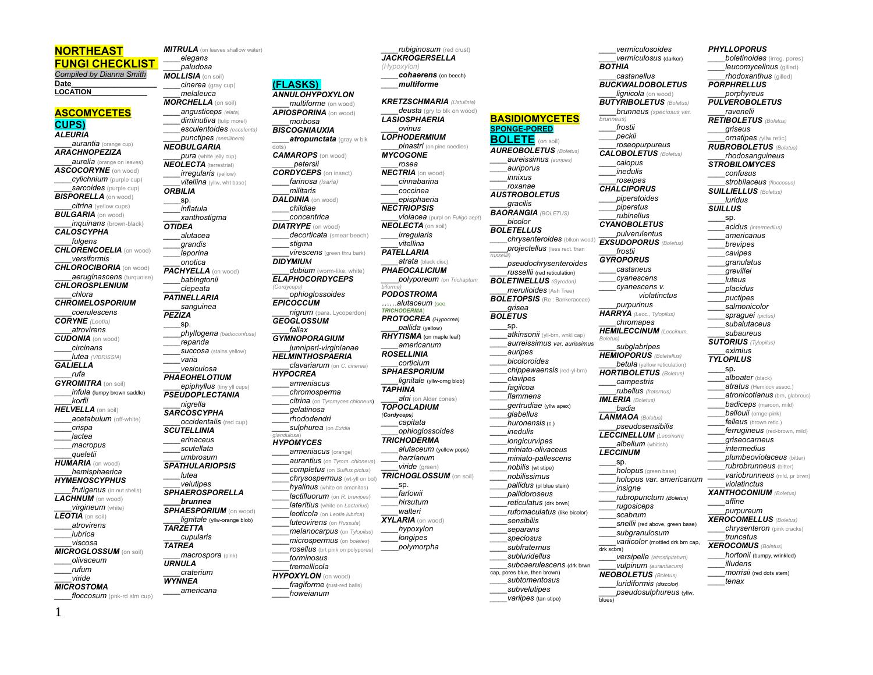## **NORTHEAST**

**FUNGI CHECKLIST**  *Compiled by Dianna Smith* **Date\_\_\_\_\_\_\_\_\_\_\_\_\_\_\_\_\_\_\_\_ LOCATION\_\_\_\_\_\_\_\_\_\_\_\_\_\_**

**ASCOMYCETES CUPS)** *ALEURIA*

*\_\_\_\_aurantia* (orange cup) *ARACHNOPEZIZA \_\_\_\_aurelia* **(**orange on leaves) *ASCOCORYNE* (on wood) *\_\_\_\_cylichnium* (purple cup) *sarcoides* (purple cup) *BISPORELLA* (on wood) *\_\_\_\_citrina* (yellow cups) *BULGARIA* (on wood) *inquinans* (brown-black) *CALOSCYPHA \_\_\_\_fulgens CHLORENCOELIA* (on wood) *\_\_\_\_versiformis CHLOROCIBORIA* (on wood) *aeruginascens* (turquoise) *CHLOROSPLENIUM \_\_\_\_chlora CHROMELOSPORIUM \_\_\_\_coerulescens CORYNE (Leotia) \_\_\_\_atrovirens CUDONIA* (on wood) *\_\_\_\_circinans \_\_\_\_lutea (VIBRISSIA) GALIELLA \_\_\_\_rufa GYROMITRA* (on soil)  $\textit{infula}$  (lumpy brown saddle) *\_\_\_\_korfii HELVELLA* (on soil) *\_\_\_\_acetabulum* (off-white) *\_\_\_\_crispa \_\_\_\_lactea \_\_\_\_macropus \_\_\_\_queletii HUMARIA* (on wood) *\_\_\_\_hemisphaerica HYMENOSCYPHUS \_\_\_\_frutigenus* (in nut shells) *LACHNUM* (on wood) *virgineum* (white) *LEOTIA* (on soil) *\_\_\_\_atrovirens \_\_\_\_lubrica \_\_\_\_viscosa MICROGLOSSUM* (on soil) *\_\_\_\_olivaceum \_\_\_\_rufum \_\_\_\_viride MICROSTOMA* 

*\_\_\_\_floccosum* (pnk-rd stm cup)

*MITRULA* (on leaves shallow water) *\_\_\_\_elegans \_\_\_\_paludosa MOLLISIA* (on soil) *\_\_\_\_cinerea* (gray cup) *\_\_\_\_melaleuca MORCHELLA* (on soil) *\_\_\_\_angusticeps (elata) diminutiva* (tulip morel) *\_\_\_\_esculentoides (esculenta) \_\_\_\_punctipes (semilibera) NEOBULGARIA \_\_\_\_pura* (white jelly cup) *NEOLECTA* (terrestrial) *irregularis* (yellow) *vitellina* (yllw, wht base) *ORBILIA*  \_\_\_\_sp. *\_\_\_\_inflatula \_\_\_\_xanthostigma OTIDEA \_\_\_\_alutacea \_\_\_\_grandis \_\_\_\_leporina \_\_\_\_onotica PACHYELLA* (on wood) *\_\_\_\_babingtonii \_\_\_\_clepeata PATINELLARIA \_\_\_\_sanguinea PEZIZA* \_\_\_\_sp. *\_\_\_\_phyllogena (badioconfusa) \_\_\_\_repanda succosa* (stains yellow) *\_\_\_\_varia \_\_\_\_vesiculosa PHAEOHELOTIUM* **epiphyllus** (tiny yll cups) *PSEUDOPLECTANIA \_\_\_\_nigrella SARCOSCYPHA \_\_\_\_occidentalis* (red cup) *SCUTELLINIA \_\_\_\_erinaceus \_\_\_\_scutellata \_\_\_\_umbrosum SPATHULARIOPSIS \_\_\_\_lutea \_\_\_\_velutipes SPHAEROSPORELLA \_\_\_\_brunnea SPHAESPORIUM* (on wood) *\_\_\_\_lignitale* (yllw-orange blob) *TARZETTA \_\_\_\_cupularis TATREA \_\_\_\_macrospora* (pink) *URNULA \_\_\_\_craterium WYNNEA*

*\_\_\_\_americana*

**(FLASKS)**  *ANNULOHYPOXYLON \_\_\_\_multiforme* (on wood) *APIOSPORINA* (on wood) *\_\_\_\_morbosa BISCOGNIAUXIA \_\_\_\_atropunctata* (gray w blk dots) *CAMAROPS* (on wood) *\_\_\_\_\_petersii CORDYCEPS* (on insect) *\_\_\_\_farinosa (Isaria) \_\_\_\_militaris* **DALDINIA** (on wood) *\_\_\_\_childiae \_\_\_\_concentrica DIATRYPE* (on wood) *\_\_\_\_decorticata* (smear beech) *\_\_\_\_stigma \_\_\_\_virescens* (green thru bark) *DIDYMIUM dubium* (worm-like, white) *ELAPHOCORDYCEPS (Cordyceps) \_\_\_\_ophioglossoides EPICOCCUM \_\_\_\_nigrum* (para. Lycoperdon) *GEOGLOSSUM \_\_\_\_fallax GYMNOPORAGIUM \_\_\_\_junniperi-virginianae HELMINTHOSPAERIA \_\_\_\_clavariarum* (on *C. cinerea*) *HYPOCREA \_\_\_\_armeniacus \_\_\_\_chromosperma \_\_\_\_citrina* (on *Tyromyces chioneus*) *\_\_\_\_gelatinosa \_\_\_\_rhododendri \_\_\_\_sulphurea* (on *Exidia glandulosa*) *HYPOMYCES \_\_\_\_armeniacus* (orange) *\_\_\_\_aurantius* (on *Tyrom. chioneus*) *\_\_\_\_completus* (on *Suillus pictus*) *chrysospermus* (wt-yll on bol) *\_\_\_\_hyalinus* (white on amanitas) *\_\_\_\_lactifluorum* (on *R. brevipes*) *\_\_\_\_lateritius* (white on *Lactarius*) *\_\_\_\_leoticola* (on *Leotia lubrica*) *\_\_\_\_luteovirens* (on *Russula*) *\_\_\_\_melanocarpus* (on *Tylopilus*) *\_\_\_\_microspermus* (on *boletes*) *\_\_\_\_rosellus* (brt pink on polypores) \_\_\_\_*torminosus \_\_\_\_tremellicola*

*HYPOXYLON* (on wood) fragiforme (rust-red balls) *\_\_\_\_howeianum*

*(Hypoxylon) \_\_\_\_cohaerens* (on beech) *\_\_\_\_multiforme KRETZSCHMARIA (Ustulinia) deusta* (gry to blk on wood) *LASIOSPHAERIA \_\_\_\_ovinus LOPHODERMIUM pinastri* (on pine needles) *MYCOGONE \_\_\_\_rosea NECTRIA* (on wood) *\_\_\_\_cinnabarina \_\_\_\_coccinea \_\_\_\_episphaeria NECTRIOPSIS \_\_\_\_violacea* (purpl on *Fuligo sept*) *NEOLECTA* (on soil) *\_\_\_\_irregularis \_\_\_\_vitellina PATELLARIA \_\_\_\_atrata* (black disc) *PHAEOCALICIUM \_\_\_\_polyporeum (*on *Trichaptum biforme) PODOSTROMA ……alutaceum* (see *TRICHODERMA*) *PROTOCREA (Hypocrea) \_\_\_\_pallida* (yellow) *RHYTISMA* (on maple leaf) *\_\_\_\_americanum ROSELLINIA \_\_\_\_corticium SPHAESPORIUM \_\_\_\_lignitale* (yllw-orng blob) *TAPHINA alni* (on Alder cones) *TOPOCLADIUM \_\_\_\_capitata \_\_\_\_ophioglossoides TRICHODERMA \_\_\_\_alutaceum* (yellow pops) *\_\_\_\_harzianum \_\_\_\_viride* (green) *TRICHOGLOSSUM* (on soil) *\_\_\_\_farlowii \_\_\_\_hirsutum \_\_\_\_walteri XYLARIA* (on wood) *\_\_\_\_hypoxylon \_\_\_\_longipes \_\_\_\_polymorpha russellii) \_\_\_\_variipes* (tan stipe)

*(Cordyceps)*

\_\_\_\_sp.

*\_\_\_\_rubiginosum* (red crust) *JACKROGERSELLA* 

**BASIDIOMYCETES SPONGE-PORED BOLETE** (on soil) *AUREOBOLETUS (Boletus) \_\_\_\_aureissimus (auripes) \_\_\_\_auriporus \_\_\_\_innixus \_\_\_\_roxanae AUSTROBOLETUS \_\_\_\_gracilis BAORANGIA (BOLETUS) \_\_\_\_bicolor BOLETELLUS chrysenteroides* (blkon wo *\_\_\_\_projectellus* (less rect. than *\_\_\_\_pseudochrysenteroides \_\_\_\_russellii* (red reticulation) *BOLETINELLUS (Gyrodon) \_\_\_\_merulioides* (Ash Tree) *BOLETOPSIS* (Re : Bankeraceae) *\_\_\_\_grisea BOLETUS* \_\_\_\_sp. *\_\_\_\_atkinsonii* (yll-brn, wnkl cap) *\_\_\_\_aurreissimus var. aurissimus \_\_\_\_auripes \_\_\_\_bicoloroides \_\_\_\_chippewaensis* (red-yl-brn) *\_\_\_\_clavipes \_\_\_\_fagilcoa \_\_\_\_flammens \_\_\_\_gertrudiae* (yllw apex) *\_\_\_\_glabellus \_\_\_\_huronensis* (c.) *\_\_\_\_inedulis \_\_\_\_longicurvipes \_\_\_\_miniato-olivaceus \_\_\_\_miniato-pallescens \_\_\_\_nobilis* (wt stipe) *\_\_\_\_nobilissimus \_\_\_\_pallidus* (pl blue stain) *\_\_\_\_pallidoroseus \_\_\_\_reticulatus* (drk brwn) *\_\_\_\_rufomaculatus* (like bicolor) *\_\_\_\_sensibilis \_\_\_\_separans \_\_\_\_speciosus \_\_\_\_subfraternus \_\_\_\_subluridellus \_\_\_\_subcaerulescens* (drk brwn cap, pores blue, then brown) *\_\_\_\_subtomentosus \_\_\_\_subvelutipes BOTHIA brunneus) \_\_\_\_frostii \_\_\_\_peckii \_\_\_\_frostii GYROPORUS Boletus) IMLERIA (Boletus) \_\_\_\_badia LECCINUM* \_\_\_\_sp. drk scbrs) *NEOBOLETUS (Boletus) \_\_\_\_luridiformis (discolor)*

*\_\_\_\_vermiculosoides \_\_\_\_vermiculosus* (darker) *\_\_\_\_castanellus BUCKWALDOBOLETUS lignicola* (on wood) *BUTYRIBOLETUS (Boletus) \_\_\_\_brunneus (speciosus var. \_\_\_\_roseopurpureus CALOBOLETUS (Boletus) \_\_\_\_calopus \_\_\_\_inedulis \_\_\_\_roseipes CHALCIPORUS \_\_\_\_piperatoides \_\_\_\_piperatus \_\_\_\_rubinellus CYANOBOLETUS \_\_\_\_pulverulentus EXSUDOPORUS (Boletus) \_\_\_\_castaneus \_\_\_\_cyanescens \_\_\_\_cyanescens v. violatinctus \_\_\_\_purpurinus HARRYA (Lecc., Tylopilus) \_\_\_\_chromapes HEMILECCINUM (Leccinum, \_\_\_\_subglabripes HEMIOPORUS (Boletellus) betula* (yellow reticulation) *HORTIBOLETUS (Boletus) \_\_\_\_campestris \_\_\_\_rubellus (fraternus) LANMAOA (Boletus) \_\_\_\_pseudosensibilis LECCINELLUM (Leccinum) \_\_\_\_albellum* (whitish) *\_\_\_\_holopus* (green base) *\_\_\_\_holopus var. americanum \_\_\_\_insigne \_\_\_\_rubropunctum (Boletus) \_\_\_\_rugosiceps \_\_\_\_scabrum Snellii* (red above, green base) *\_\_\_\_subgranulosum \_\_\_\_variicolor* (mottled drk brn cap, *\_\_\_\_versipelle (atrostipitatum) \_\_\_\_vulpinum (aurantiacum) PHYLLOPORUS boletinoides* (irreg. pores) *<i>leucomycelinus* (gilled) *rhodoxanthus* (gilled) *PORPHRELLUS \_\_\_\_porphyreus PULVEROBOLETUS \_\_\_\_ravenelii*

*\_\_\_\_pseudosulphureus* (yllw,

blues)

*RETIBOLETUS (Boletus) \_\_\_\_griseus ornatipes* (yllw retic) *RUBROBOLETUS (Boletus) \_\_\_\_rhodosanguineus STROBILOMYCES \_\_\_\_confusus \_\_\_\_strobilaceus (floccosus) SUILLIELLUS (Boletus) \_\_\_\_luridus SUILLUS* \_\_\_\_sp. *\_\_\_\_acidus (intermedius) \_\_\_\_americanus \_\_\_\_brevipes \_\_\_\_cavipes \_\_\_\_granulatus \_\_\_\_grevillei \_\_\_\_luteus \_\_\_\_placidus \_\_\_\_puctipes \_\_\_\_salmonicolor \_\_\_\_spraguei (pictus) \_\_\_\_subalutaceus \_\_\_\_subaureus SUTORIUS (Tylopilus) \_\_\_\_eximius TYLOPILUS* \_\_\_\_sp**.** *\_\_\_\_alboater* (black) *\_\_\_\_atratus* (Hemlock assoc.) *atronicotianus* (brn, glabrous) *badiceps* (maroon, mild) *ballouii* (ornge-pink) *felleus* (brown retic.) *ferrugineus* (red-brown, mild) *\_\_\_\_griseocarneus \_\_\_\_intermedius \_\_\_\_plumbeoviolaceus* (bitter) *rubrobrunneus* (bitter) *variobrunneus* (mld, pr brwn) *\_\_\_\_violatinctus XANTHOCONIUM (Boletus) \_\_\_\_affine \_\_\_\_purpureum XEROCOMELLUS (Boletus) chrysenteron* (pink cracks) *\_\_\_\_truncatus XEROCOMUS (Boletus) \_\_\_\_hortonii* (bumpy, wrinkled) *\_\_\_\_illudens \_\_\_\_morrisii* (red dots stem) *\_\_\_\_tenax*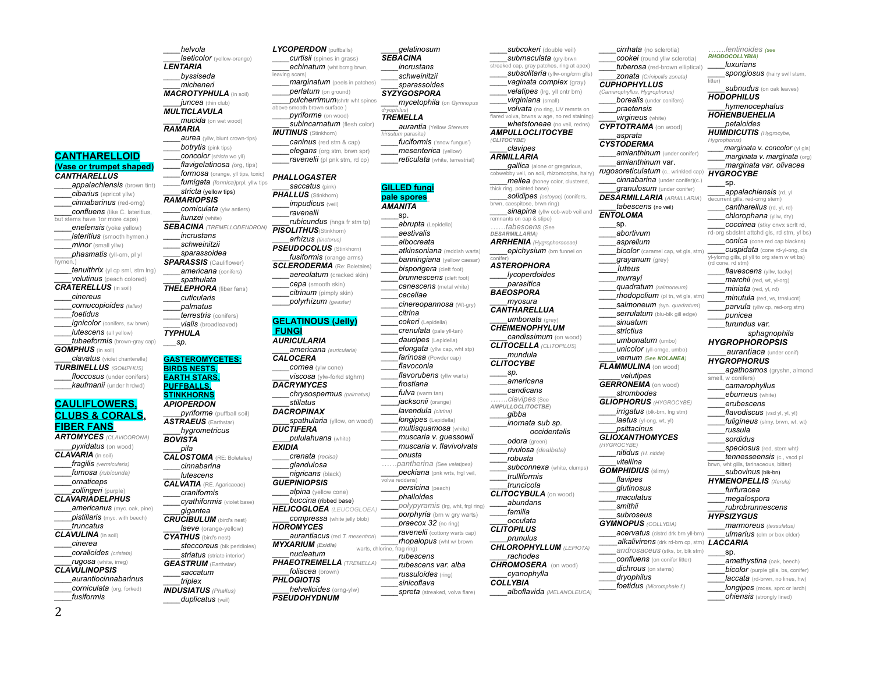**CANTHARELLOID (Vase or trumpet shaped)** *CANTHARELLUS appalachiensis* (brown tint) *\_\_\_\_cibarius* (apricot yllw) *\_\_\_\_cinnabarinus* (red-orng) *confluens* (like C. lateritius, but stems have 1or more caps) *enelensis* (yoke yellow) *lateritius* (smooth hymen.) *minor* (small yllw) *\_\_\_\_phasmatis* (yll-orn, pl yl hymen.) *\_\_\_\_tenuithrix* (yl cp sml, stm lng) *\_\_\_\_velutinus* (peach colored) *CRATERELLUS* (in soil) *\_\_\_\_cinereus \_\_\_\_cornucopioides (fallax) \_\_\_\_foetidus \_\_\_\_ignicolor* (conifers, sw brwn) *lutescens* (all yellow) *tubaeformis* (brown-gray cap) *GOMPHUS* (in soil) *\_\_\_\_clavatus* (violet chanterelle) *TURBINELLUS (GOMPHUS) \_\_\_\_floccosus* (under conifers) *\_\_\_\_kaufmanii* (under hrdwd)

## **CAULIFLOWERS, CLUBS & CORALS, FIBER FANS** *ARTOMYCES (CLAVICORONA)*

 $pyxidatus$  (on wood) *CLAVARIA* (in soil) *\_\_\_\_fragilis (vermicularis) \_\_\_\_fumosa (rubicunda) \_\_\_\_ornaticeps \_\_\_\_zollingeri* (purple) *CLAVARIADELPHUS americanus* (myc. oak, pine) *pistillaris* (myc. with beech) *\_\_\_\_truncatus CLAVULINA* (in soil) *\_\_\_\_cinerea \_\_\_\_coralloides (cristata) \_\_\_\_rugosa* (white, irreg) *CLAVULINOPSIS \_\_\_\_aurantiocinnabarinus \_\_\_\_corniculata* (org, forked) *\_\_\_\_fusiformis*

*\_\_\_\_helvola laeticolor* (yellow-orange) *LENTARIA \_\_\_\_byssiseda \_\_\_\_micheneri MACROTYPHULA* (in soil) *juncea* (thin club) *MULTICLAVULA \_\_\_\_mucida* (on wet wood) *RAMARIA aurea* (yllw, blunt crown-tips) *botrytis* (pink tips) \_\_\_\_*concolor* (s*tricta* wo yll) *\_\_\_\_flavigelatinosa (*org, tips) *\_\_\_\_formosa* (orange, yll tips, toxic) *\_\_\_\_fumigata (fennica)*prpl, yllw tips *\_\_\_\_stricta* (yellow tips) *RAMARIOPSIS corniculata* (ylw antlers) *\_\_\_\_kunzei* (white) *SEBACINA (TREMELLODENDRON) \_\_\_\_incrustans \_\_\_\_schweinitzii \_\_\_\_sparassoidea SPARASSIS* (Cauliflower) *\_\_\_\_americana* (conifers) *\_\_\_\_spathulata THELEPHORA* (fiber fans) *\_\_\_\_cuticularis \_\_\_\_palmatus \_\_\_\_terrestris* (conifers) *\_\_\_\_vialis* (broadleaved) *TYPHULA \_\_\_sp.*

**GASTEROMYCETES: BIRDS NESTS, EARTH STARS, PUFFBALLS, STINKHORN**S *APIOPERDON pyriforme* (puffball soil) *ASTRAEUS* (Earthstar) *\_\_\_\_hygrometricus BOVISTA \_\_\_\_pila CALOSTOMA* (RE: Boletales*) \_\_\_\_cinnabarina \_\_\_\_lutescens CALVATIA* (RE. Agaricaeae) *\_\_\_\_craniformis \_\_\_\_cyathiformis* (violet base) *\_\_\_\_gigantea CRUCIBULUM* (bird's nest) *laeve* (orange-yellow) *CYATHUS* (bird's nest) *\_\_\_\_steccoreus* (blk peridioles) *striatus* (striate interior) *GEASTRUM* (Earthstar) *\_\_\_\_saccatum \_\_\_\_triplex INDUSIATUS (Phallus) duplicatus* (veil)

**echinatum** (wht bcmg brwn, leaving scars) *\_\_\_\_marginatum* (peels in patches) *\_\_\_\_perlatum* (on ground) *\_\_\_\_pulcherrimum*(shrtr wht spines mooth brown surface *\_\_\_\_pyriforme* (on wood) *\_\_\_\_subincarnatum* (flesh color) *MUTINUS* (Stinkhorn) *caninus* (red stm & cap) *\_\_\_\_elegans* (org stm, brwn spr) *ravenelii* (pl pnk stm, rd cp) *PHALLOGASTER \_\_\_\_saccatus* (pink) *PHALLUS* (Stinkhorn) *impudicus* (veil) *\_\_\_\_ravenelii rubicundus* (hngs fr stm tp) *PISOLITHUS*(Stinkhorn) *\_\_\_\_arhizus (tinctorus) PSEUDOCOLUS* (Stinkhorn) \_\_\_\_*fusiformis* (orange arms) *SCLERODERMA* (Re: Boletales) *\_\_\_\_aereolatum* (cracked skin) *\_\_\_\_cepa* (smooth skin) *\_\_\_\_citrinum* (pimply skin) *\_\_\_\_polyrhizum (geaster)* **GELATINOUS (Jelly) FUNGI** *AURICULARIA \_\_\_\_americana (auricularia) CALOCERA \_\_\_\_cornea* (ylw cone) *\_\_\_\_viscosa* (ylw-forkd stghrn) *DACRYMYCES \_\_\_\_chrysospermus (palmatus) \_\_\_\_stillatus DACROPINAX spathularia* (vllow, on wood) *DUCTIFERA \_\_\_\_pululahuana* (white) *EXIDIA \_\_\_\_crenata (recisa) \_\_\_\_glandulosa \_\_\_\_nigricans* (black) *GUEPINIOPSIS* **alpina** (yellow cone) *\_\_\_\_buccina* (ribbed base) *HELICOGLOEA (LEUCOGLOEA) \_\_\_\_compressa* (white jelly blob) *HOROMYCES \_\_\_\_aurantiacus* (red *T. mesentrca*) *MYXARIUM (Exidia) \_\_\_\_nucleatum PHAEOTREMELLA (TREMELLA) \_\_\_\_foliacea* (brown) *PHLOGIOTIS \_\_\_\_helvelloides* (orng-ylw) *PSEUDOHYDNUM* warts, chlorine, frag ring)

**LYCOPERDON** (puffballs) *curtisii* (spines in grass)

*\_\_\_\_gelatinosum SEBACINA \_\_\_\_incrustans \_\_\_\_schweinitzii \_\_\_\_sparassoides*

*dryophilus*) *TREMELLA*

*hirsutum* parasite*)*

*AMANITA* \_\_\_\_sp.

*\_\_\_\_ceceliae* 

*\_\_\_\_citrina*

*\_\_\_\_onusta*

volva reddens)

*SYZYGOSPORA \_\_\_\_mycetophila* (on *Gymnopus \_\_\_\_aurantia* (Yellow *Stereum \_\_\_\_fuciformis* ('snow fungus') *mesenterica* (yellow) *\_\_\_\_reticulata* (white, terrestrial) **GILLED fungi pale spores** *\_\_\_\_abrupta* (Lepidella) *\_\_\_\_aestivalis \_\_\_\_albocreata \_\_\_\_atkinsoniana* (reddish warts) *banningiana* (yellow caesar) *\_\_\_\_bisporigera* (cleft foot) *brunnescens* (cleft foot) *\_\_\_\_canescens* (metal white) *\_\_\_\_cinereopannosa* (Wt-gry) *\_\_\_\_cokeri* (Lepidella) *\_\_\_\_crenulata* (pale yll-tan) *daucipes* (Lepidella) *elongata* (yllw cap, wht stp) *\_\_\_\_farinosa* (Powder cap) *\_\_\_\_flavoconia flavorubens* (yllw warts) *\_\_\_\_frostiana \_\_\_\_fulva* (warm tan) *\_\_\_\_jacksonii* **(**orange) *\_\_\_\_lavendula (citrina) \_\_\_\_longipes* (Lepidella) *\_\_\_\_multisquamosa* (white) *\_\_\_\_muscaria v. guessowii \_\_\_\_muscaria v. flavivolvata ……pantherina (*See *velatipes) peckiana* (pnk wrts, frgl veil, *\_\_\_\_persicina* (peach) *\_\_\_\_phalloides \_\_\_\_polypyramis* (lrg, wht, frgl ring) *porphyria* (brn w gry warts) *\_\_\_\_praecox 32* (no ring) *ravenelii* (cottony warts cap) *rhopalopus* (wht w/ brown *\_\_\_\_rubescens \_\_\_\_rubescens var. alba \_\_\_\_russuloides* (ring) *\_\_\_\_sinicoflava spreta* (streaked, volva flare) *(CLITOCYBE) ARMILLARIA DESARMILLARIA) BAEOSPORA CLITOCYBE \_\_\_\_sp. \_\_\_\_gibba \_\_\_\_familia CLITOPILUS COLLYBIA*

*subcokeri* (double veil) *submaculata* (gry-brwn streaked cap, gray patches, ring at apex) *subsolitaria* (yllw-ong/crm glls) *\_\_\_\_vaginata complex* (gray) *velatipes* (Irg, yll cntr brn) *\_\_\_\_virginiana* (small) *\_\_\_\_volvata* (no ring, UV remnts on flared volva, brwns w age, no red staining) *whetstoneae* (no veil, redns) *AMPULLOCLITOCYBE \_\_\_\_clavipes qallica* (alone or gregarious, cobwebby veil, on soil, rhizomorphs, hairy) *rugosoreticulatum* (c., wrinkled cap) *\_\_\_\_mellea* (honey color, clustered, thick ring, pointed base) *\_\_\_\_solidipes (ostoyae)* (conifers, brwn, caespitose, brwn ring) *sinapina* (yllw cob-web veil and remnants on cap & stipe) *……tabescens* (See *ARRHENIA (Hygrophoraceae) \_\_\_\_epichysium* (brn funnel on conifer) *ASTEROPHORA \_\_\_\_lycoperdoides \_\_\_\_parasitica \_\_\_\_myosura CANTHARELLUA \_\_\_\_umbonata* (grey) *CHEIMENOPHYLUM \_\_\_\_candissimum* (on wood) *CLITOCELLA (CLITOPILUS) \_\_\_\_mundula \_\_\_\_americana \_\_\_\_candicans …….clavipes* (See *AMPULLOCLITOCTBE*) *\_\_\_\_inornata sub sp. occidentalis \_\_\_\_odora* (green) *\_\_\_\_rivulosa (dealbata) \_\_\_\_robusta subconnexa* (white, clumps) *\_\_\_\_trulliformis \_\_\_\_truncicola CLITOCYBULA* (on wood) *\_\_\_\_abundans \_\_\_\_occulata \_\_\_\_prunulus CHLOROPHYLLUM (LEPIOTA) \_\_\_\_rachodes CHROMOSERA* (on wood) *\_\_\_\_cyanophylla \_\_\_\_alboflavida (MELANOLEUCA) CUPHOPHYLLUS (Camarophyllus, Hygrophorus) \_\_\_\_praetensis \_\_\_\_virgineus* (white) *CYPTOTRAMA* (on wood) *\_\_\_\_asprata CYSTODERMA \_\_\_\_amianthinum* var. *\_\_\_\_tabescens* (no veil) *ENTOLOMA* \_\_\_\_sp. *\_\_\_\_abortivum \_\_\_\_asprellum \_\_\_\_grayanum* (grey) *\_\_\_\_luteus \_\_\_\_murrayi \_\_\_\_sinuatum \_\_\_\_strictius FLAMMULINA* (on wood) *GERRONEMA* (on wood) *\_\_\_\_strombodes GLIOPHORUS (HYGROCYBE) laetus* (yl-ong, wt, yl) *\_\_\_\_psittacinus GLIOXANTHOMYCES (HYGROCYBE) \_\_\_\_nitidus (H. nitida) \_\_\_\_vitellina GOMPHIDIUS* (slimy) *\_\_\_\_flavipes \_\_\_\_glutinosus \_\_\_\_maculatus \_\_\_\_smithii \_\_\_\_subroseus GYMNOPUS (COLLYBIA)* dichrous (on stems) *\_\_\_\_dryophilus*

*\_\_\_\_\_velutipes*

*\_\_\_\_cirrhata* (no sclerotia) *cookei* (round yllw sclerotia) *tuberosa* (red-brown elliptical) *\_\_\_\_zonata (Crinipellis zonata)* **borealis** (under conifers) *amianthinum* (under conifer) *cinnabarina* (under conifer)(c.) *\_\_\_\_granulosum* (under conifer) *DESARMILLARIA* (*ARMILLARIA*) *\_\_\_\_bicolor* (caramel cap, wt gls, stm) *\_\_\_\_quadratum (salmoneum) rhodopolium* (pl tn, wt gls, stm) *\_\_\_\_salmoneum (*syn. *quadratum*) *\_\_\_\_serrulatum* (blu-blk gill edge) *\_\_\_\_umbonatum* (umbo) *unicolor* (yll-ornge, umbo) *\_\_\_\_vernum (*See *NOLANEA) irrigatus* (blk-brn, Ing stm) *\_\_\_\_acervatus* (clstrd drk brn yll-brn) *\_\_\_\_\_alkalivirens* (drk rd-brn cp, stm) *LACCARIA \_\_\_\_androsaceus* (stks, br, blk stm) *confluens* (on conifer litter) *\_\_\_\_foetidus (Micromphale f.) …….lentinoides (see RHODOCOLLYBIA) \_\_\_\_luxurians spongiosus* (hairy swll stem, litter) *subnudus* (on oak leaves) *HODOPHILUS \_\_\_\_hymenocephalus HOHENBUEHELIA \_\_\_\_petaloides HUMIDICUTIS (Hygrocybe, Hygrophorus) \_\_\_\_marginata v. concolor* (yl gls) *\_\_\_\_marginata v. marginata* (org) *\_\_\_\_marginata var. olivacea HYGROCYBE \_\_\_\_*sp. *\_\_\_\_appalachiensis* (rd, yl decurrent gills, red-orng stem) *cantharellus* (rd, yl, rd) *chlorophana* (yllw, dry) *coccinea* (stky cnvx scrit rd, rd-org sbdstnt attchd gls, rd stm, yl bs) *conica* (cone red cap blackns) *cuspidata* (cone rd-yl-ong, cls yl-ylorng gills, pl yll to org stem w wt bs) (rd cone, rd stm) *\_\_\_\_flavescens* (yllw, tacky) *\_\_\_\_marchii* (red, wt, yl-org) *\_\_\_\_miniata* (red, yl, rd) *minutula* (red, vs, trnslucnt) *parvula* (yllw cp, red-org stm) *\_\_\_\_punicea \_\_\_\_turundus var. sphagnophila HYGROPHOROPSIS \_\_\_\_aurantiaca* (under conif) *HYGROPHORUS* **agathosmos** (gryshn, almond smell, w conifers) *\_\_\_\_camarophyllus \_\_\_\_eburneus* (white) *\_\_\_\_erubescens \_\_\_\_flavodiscus* (vsd yl, yl, yl) *fuligineus* (slmy, brwn, wt, wt) *\_\_\_\_russula \_\_\_\_sordidus \_\_\_\_speciosus* (red, stem wht*) \_\_\_\_tennesseensis* (c., vscd pl brwn, wht gills, farinaceous, bitter) *\_\_\_\_subovinus* (blk-bn) *HYMENOPELLIS (Xerula) \_\_\_\_furfuracea \_\_\_\_megalospora \_\_\_\_rubrobrunnescens HYPSIZYGUS \_\_\_\_marmoreus (tessulatus) ulmarius* (elm or box elder)  $\_$ sp. *\_\_\_\_amethystina* (oak, beech) *bicolor* (purple gills, bs, conifer) *laccata* (rd-brwn, no lines, hw) *longipes* (moss, sprc or larch) *\_\_\_\_ohiensis* (strongly lined)

2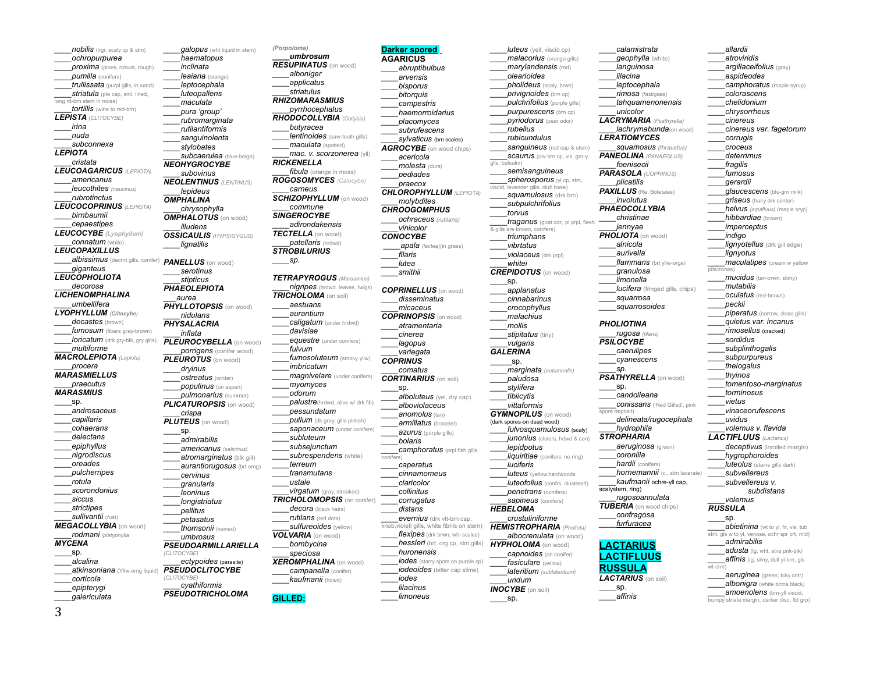*nobilis* (Irgr, scaly cp & stm) *\_\_\_\_ochropurpurea proxima* (pines, robust, rough) *pumilla* (conifers) \_\_\_\_*trullissata* (purpl gills, in sand) *\_\_\_\_striatula* (ple cap, sml, lined, long rd-brn stem in moss) *\_\_\_\_tortillis* (wine to red-brn) *LEPISTA (CLITOCYBE) \_\_\_\_irina \_\_\_\_nuda \_\_\_\_subconnexa LEPIOTA \_\_\_\_cristata LEUCOAGARICUS (LEPIOTA) \_\_\_\_americanus \_\_\_\_leucothites (naucinus) \_\_\_\_rubrotinctus LEUCOCOPRINUS (LEPIOTA) \_\_\_\_birnbaumii \_\_\_\_cepaestipes LEUCOCYBE (Lyophyllum) \_\_\_\_connatum* (white) *LEUCOPAXILLUS \_\_\_\_albissimus* (decrnt gills, conifer) *PANELLUS* (on wood) *\_\_\_\_giganteus LEUCOPHOLIOTA \_\_\_\_decorosa LICHENOMPHALINA \_\_\_\_umbellifera LYOPHYLLUM (Clitocybe) \_\_\_\_decastes* (brown) fumosum (fibers gray-brown) *loricatum* (drk gry-blk, gry gills) *\_\_\_\_multiforme MACROLEPIOTA (Lepiota) \_\_\_\_procera MARASMIELLUS \_\_\_\_praecutus MARASMIUS* \_\_\_\_sp. *\_\_\_\_androsaceus \_\_\_\_capillaris \_\_\_\_cohaerans \_\_\_\_delectans \_\_\_\_epiphyllus \_\_\_\_nigrodiscus \_\_\_\_oreades \_\_\_\_pulcherripes \_\_\_\_rotula \_\_\_\_scorondonius \_\_\_\_siccus \_\_\_\_strictipes \_\_\_\_sullivantii* (rust) *MEGACOLLYBIA* (on wood) *\_\_\_\_rodmani (platyphylla MYCENA* \_\_\_\_sp.  *\_\_\_\_alcalina \_\_\_\_atkinsoniana* (Yllw-orng liquid) *PSEUDOCLITOCYBE \_\_\_\_corticola \_\_\_\_epipterygi \_\_\_\_galericulata*

*aalopus* (wht liquid in stem) *\_\_\_\_haematopus \_\_\_\_inclinata \_\_\_\_leaiana* (orange) *\_\_\_\_leptocephala \_\_\_\_luteopallens \_\_\_\_maculata \_\_\_\_pura 'group' \_\_\_\_rubromarginata \_\_\_\_rutilantiformis \_\_\_\_sanguinolenta \_\_\_\_stylobates \_\_\_\_subcaerulea* (blue-beige) *NEOHYGROCYBE \_\_\_\_subovinus NEOLENTINUS (LENTINUS) \_\_\_\_lepideus OMPHALINA \_\_\_\_chrysophylla OMPHALOTUS* (on wood) *\_\_\_\_illudens OSSICAULIS (HYPSIGYGUS) \_\_\_\_lignatilis \_\_\_\_serotinus \_\_\_\_stipticus PHAEOLEPIOTA \_\_\_aurea PHYLLOTOPSIS* (on wood) *\_\_\_\_nidulans PHYSALACRIA \_\_\_\_inflata PLEUROCYBELLA* (on wood) *\_\_\_\_porrigens* (conifer wood) *PLEUROTUS* (on wood) *\_\_\_\_dryinus \_\_\_\_ostreatus* (winter) *\_\_\_\_populinus* (on aspen) *\_\_\_\_pulmonarius* (summer) *PLICATUROPSIS* (on wood) *\_\_\_\_crispa PLUTEUS* (on wood) \_\_\_\_sp. *\_\_\_\_admirabilis \_\_\_\_americanus (salicinus) \_\_\_\_atromarginatus* (blk gill) *aurantiorugosus* (brt orng) *\_\_\_\_cervinus \_\_\_\_granularis \_\_\_\_leoninus \_\_\_\_longistriatus \_\_\_\_pellitus \_\_\_\_petasatus \_\_\_\_thomsonii* (veined) *\_\_\_\_umbrosus PSEUDOARMILLARIELLA (CLITOCYBE) \_\_\_\_ectypoides* (parasite) *(CLITOCYBE) \_\_\_\_cyathiformis PSEUDOTRICHOLOMA*

*(Porpoloma) \_\_\_\_umbrosum RESUPINATUS* (on wood) *\_\_\_\_alboniger \_\_\_\_applicatus \_\_\_\_striatulus RHIZOMARASMIUS \_\_\_\_pyrrhocephalus RHODOCOLLYBIA (Collybia) \_\_\_\_butyracea lentinoides* (saw-tooth gills) *maculata* (spotted) *\_\_\_\_mac. v. scorzonerea* (yll) *RICKENELLA \_\_\_\_fibula* (orange in moss) *ROGOSOMYCES (Calocybe) \_\_\_\_carneus SCHIZOPHYLLUM* (on wood) *\_\_\_\_commune SINGEROCYBE \_\_\_\_adirondakensis TECTELLA* (on wood) *\_\_\_\_patellaris* (hrdwd) *STROBILURIUS*  $sp.$ *TETRAPYROGUS (Marasmius) nigripes* (hrdwd. leaves, twigs) *TRICHOLOMA* (on soil) *\_\_\_\_aestuans \_\_\_\_aurantium \_\_\_\_caligatum* (under hrdwd) *\_\_\_\_davisiae* **equestre** (under conifers) *\_\_\_\_fulvum \_\_\_\_fumosoluteum* (smoky yllw) *\_\_\_\_imbricatum \_\_\_\_magnivelare* (under conifers) *\_\_\_\_myomyces \_\_\_\_odorum palustre*(hrdwd, olive w/ drk fib) *\_\_\_\_pessundatum \_\_\_\_pullum* (dk gray, gills pinksh) *saponaceum* (under conifers) *\_\_\_\_subluteum \_\_\_\_subsejunctum \_\_\_\_subrespendens* (white) *\_\_\_\_terreum \_\_\_\_transmutans \_\_\_\_ustale \_\_\_\_virgatum* (gray, streaked) *TRICHOLOMOPSIS* (on conifer) decora (black hairs) *\_\_\_\_rutilans* (red dots) *sulfureoides* (yellow) *VOLVARIA* (on wood) *\_\_\_\_bombycina \_\_\_\_speciosa XEROMPHALINA* (on wood) *\_\_\_\_campanella* (conifer) *\_\_\_\_kaufmanii* (hdwd) **GILLED:** conifers)

```
Darker spored
AGARICUS
     ____abruptibulbus
     ____arvensis
     ____bisporus
     ____bitorquis
     ____campestris
     ____haemorroidarius
     ____placomyces
     ____subrufescens
     ____sylvaticus (brn scales)
AGROCYBE (on wood chips)
     ____acericola
     ____molesta (dura)
     ____pediades
     ____praecox
CHLOROPHYLLUM (LEPIOTA)
     ____molybdites
CHROOGOMPHUS
    ____ochraceus (rutilans)
     ____vinicolor
CONOCYBE
      ____apala (lactea)(in grass)
     ____smithii
COPRINELLUS (on wood)
      ____disseminatus
      ____micaceus
COPRINOPSIS (on wood)
     ____atramentaria 
     ____cinerea
     ____lagopus
     ____variegata
COPRINUS
     ____comatus
CORTINARIUS (on soil)
     alboluteus (yel, dry cap)
     ____alboviolaceus
     ____anomolus (tan)
     ____armillatus (bracelet)
     ____azurus (purple gills)
     ____bolaris
     ____camphoratus (prpl flsh gills, 
     ____caperatus
     ____cinnamomeus
     ____claricolor
     ____collinitus
     ____corrugatus
     ____distans
     ____evernius (drk vlt-brn cap, 
knob,violetl gills, white fibrils on stem) 
     flexipes (drk brwn, whi scales)
     ____hessleri (brt. org cp, stm,gills)
     ____huronensis
     ____iodes (starry spots on purple cp)
     iodeoides (bitter cap slime)
     ____lilacinus
     ____limoneus
                                       glis, balsalm
                                             ____sp.
                                              \_sp.
                                           \_sp.
```
*\_\_\_\_filaris \_\_\_\_lutea*

\_\_\_\_sp.

*\_\_\_\_iodes*

*luteus* (yell, viscid cp) *malacorius* (orange gills) *\_\_\_\_marylandensis* (red) *\_\_\_\_olearioides \_\_\_\_pholideus* (scaly, brwn) *privignoides* (brn cp) *pulchrifolius* (purple gills)  $p$ *urpurescens* (brn cp) *\_\_\_\_pyriodorus* (pear odor) *\_\_\_\_rubellus \_\_\_\_rubicundulus sanguineus* (red cap & stem) *\_\_\_\_scaurus* (olv-brn cp, vis, grn-y *\_\_\_\_semisanguineus spherosporus* (yl cp, stm, viscid, lavender gills, club base) *squamulosus* (drk brn) *\_\_\_\_subpulchrifolius \_\_\_\_torvus \_\_\_\_traganus* (goat odr, pl prpl, flesh & gills are brown, conifers) *\_\_\_\_triumphans \_\_\_\_vibrtatus \_\_\_\_violaceus* (drk prpl) *\_\_\_\_whitei CREPIDOTUS* (on wood) *\_\_\_\_applanatus \_\_\_\_cinnabarinus \_\_\_\_crocophyllus \_\_\_\_malachius \_\_\_\_mollis stipitatus* (tiny) \_\_\_\_*vulgaris GALERINA \_\_\_\_marginata (autumnalis) \_\_\_\_paludosa \_\_\_\_stylifera \_\_\_\_tibiicytis \_\_\_\_vittaformis GYMNOPILUS* (on wood) (dark spores-on dead wood) *\_\_\_\_fulvosquamulosus* (scaly) *junonius* (clsters, hdwd & con) \_\_\_\_*lepidpotus liquiritiae* (conifers, no ring) *\_\_\_\_luciferis \_\_\_\_luteus* (yellow,hardwoods *luteofolius* (confrs, clustered) *\_\_\_\_penetrans* (conifers) *sapineus* (conifers) *HEBELOMA \_\_\_\_crustuliniforme HEMISTROPHARIA (Pholiota) \_\_\_\_albocrenulata* (on wood) *HYPHOLOMA* (on wood) *\_\_\_\_capnoides* (on conifer*) fasiculare* (yellow) *\_\_\_\_lateritium (sublateritium) \_\_\_\_undum INOCYBE* (on soil)

*\_\_\_\_calamistrata \_\_\_\_geophylla* (white) *\_\_\_\_languinosa \_\_\_\_lilacina \_\_\_\_leptocephala \_\_\_\_rimosa (fastigiata) \_\_\_\_tahquamenonensis \_\_\_\_unicolor LACRYMARIA (Psathyrella) \_\_\_\_lachrymabunda*(on wood) *LERATIOMYCES \_\_\_\_squamosus (thraustus) PANEOLINA (PANAEOLUS) \_\_\_\_foenisecii PARASOLA (COPRINUS) \_\_\_\_plicatilis PAXILLUS* (Re: Boletales) *\_\_\_\_involutus PHAEOCOLLYBIA \_\_\_\_christinae \_\_\_\_jennyae PHOLIOTA* (on wood) *\_\_\_\_alnicola \_\_\_\_aurivella* **flammans** (brt yllw-orge) *\_\_\_\_granulosa \_\_\_\_limonella \_\_\_\_lucifera* (fringed gills, chips) *\_\_\_\_squarrosa \_\_\_\_squarrosoides PHOLIOTINA \_\_\_\_rugosa (filaris) PSILOCYBE \_\_\_\_caerulipes \_\_\_\_cyanescens \_\_\_\_sp. PSATHYRELLA* (on wood) \_\_\_\_sp. *\_\_\_\_candolleana \_\_\_\_conissans* ('Red Gilled', pink spore deposit) *\_\_\_\_delineata/rugocephala \_\_\_\_hydrophila STROPHARIA \_\_\_\_aeruginosa* (green) \_\_\_\_*coronilla \_\_\_\_hardii* (conifers) *\_\_\_\_hornemannii* (c., stm lacerate) *\_\_\_\_kaufmanii* ochre-yll cap, scalystem, ring) *\_\_\_\_rugosoannulata TUBERIA* (on wood chips) *\_\_\_\_confragosa \_\_\_\_furfuracea* **LACTARIUS LACTIFLUUS RUSSULA** *LACTARIUS* (on soil)

> $\_$ sp. *\_\_\_\_affinis*

## *\_\_\_\_atroviridis \_\_\_\_argillaceifolius* (gray) *\_\_\_\_aspideodes \_\_\_\_camphoratus* (maple syrup) *\_\_\_\_colorascens \_\_\_\_chelidonium \_\_\_\_chrysorrheus \_\_\_\_cinereus \_\_\_\_cinereus var. fagetorum \_\_\_\_corrugis \_\_\_\_croceus \_\_\_\_deterrimus \_\_\_\_fragilis \_\_\_\_fumosus \_\_\_\_gerardii \_\_\_\_glaucescens* (blu-grn milk) *griseus* (hairy drk center) *\_\_\_\_helvus (aquifluus) (*maple sryp) *hibbardiae* (brown) *\_\_\_\_imperceptus \_\_\_\_indigo lignyotellus* (drk gill edge) *\_\_\_\_lignyotus maculatipes* (cream w yellow pits/zones) *\_\_\_\_mucidus* (tan-brwn, slimy) *\_\_\_\_mutabilis \_\_\_\_oculatus* (red-brown) *\_\_\_\_peckii* **piperatus** (narrow, close gills) *\_\_\_\_quietus var. incanus \_\_\_\_rimosellus* (cracked) *\_\_\_\_sordidus \_\_\_\_subplinthogalis \_\_\_\_subpurpureus \_\_\_\_theiogalus \_\_\_\_thyinos \_\_\_\_tomentoso-marginatus \_\_\_\_torminosus \_\_\_\_vietus \_\_\_\_vinaceorufescens \_\_\_\_uvidus \_\_\_\_volemus v. flavida LACTIFLUUS (Lactarius)* deceptivus (inrolled margin) *\_\_\_\_hygrophoroides luteolus* (stains gills dark) *\_\_\_\_subvellereus \_\_\_\_subvellereus v. subdistans \_\_\_\_volemus RUSSULA*  $_{SD.}$ **abietinina** (wt to yl, fir, vis, tub strit, gls w to yl, venose, ochr spr prt, mld) *\_\_\_\_admirabilis \_\_\_\_adusta* (lg. wht, stns pnk-blk*) affinis* (lg, slmy, dull yl-brn, gls wt-crm) *\_\_\_\_aeruginea* (green, tcky cntr*) \_\_\_\_albonigra* (white bcms black*)*

**amoenolens** (brn-yll viscid, bumpy striate margin, darker disc, ftd grp)

*\_\_\_\_allardii*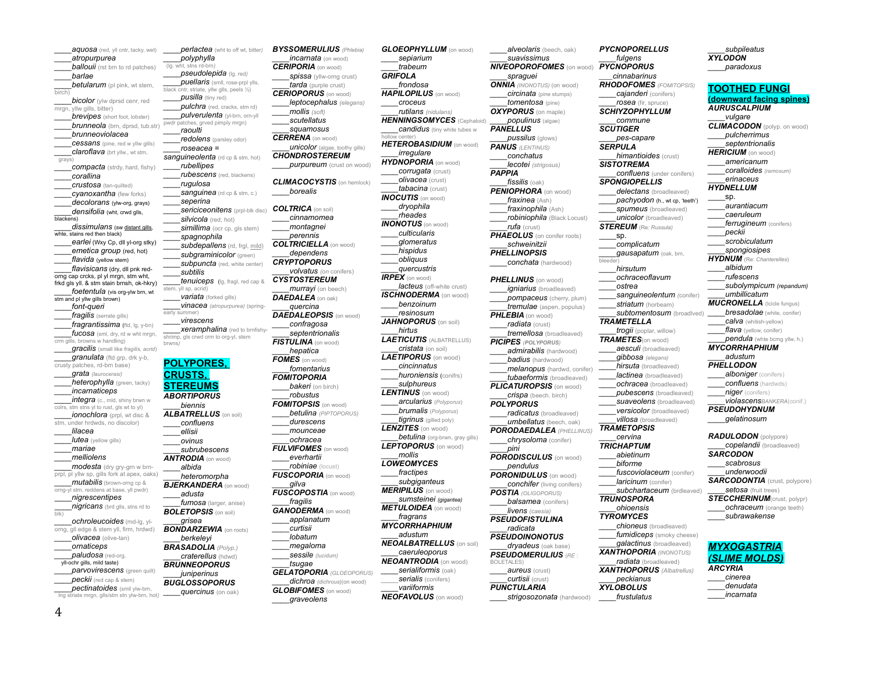*\_\_\_\_aquosa* (red, yll cntr, tacky, wet) *\_\_\_\_atropurpurea ballouii* (rst brn to rd patches) *\_\_\_\_barlae \_\_\_\_betularum* (pl pink, wt stem, birch) *bicolor* (ylw dprsd cenr, red mrgn, yllw gills, bitter) *brevipes* (short foot, lobster) *brunneola* (brn, dprsd, tub.str) *\_\_\_\_brunneoviolacea* **cessans** (pine, red w yllw gills) *\_\_\_\_claroflava* (brt yllw., wt stm, grays) *compacta* (strdy, hard, fishy) *\_\_\_\_corallina \_\_\_\_crustosa* (tan-quilted) *\_\_\_\_cyanoxantha* (few forks) *\_\_\_\_decolorans* (ylw-org, grays) *\_\_\_\_densifolia* (wht, crwd glls, blackens) dissimulans (sw distant gills, whte, stains red then black) earlei (Wxy Cp, dll yl-org stky) *\_\_\_\_emetica group* (red, hot) flavida (yellow stem) *\_\_\_\_flavisicans* (dry, dll pnk redorng cap crcks, pl yl mrgn, stm wht, frkd gls yll. & stm stain brnsh, ok-hkry) *\_\_\_\_foetentula* (vis org-ylw brn, wt stm and pl yllw gills brown) \_\_\_\_*font-queri \_\_\_\_fragilis* (serrate gills) *\_\_\_\_fragrantissima* (ftd, lg, y-bn) fucosa (sml, dry, rd w wht mrgn, crm gills, browns w handling) *\_\_\_\_gracilis* (small like *fragilis, acrid*) *\_\_\_\_granulata* (ftd grp, drk y-b, crusty patches, rd-brn base) *\_\_\_\_grata (laurocerasi) heterophylla* (green, tacky) *\_\_\_\_incarnaticeps integra* (c., mld, shiny brwn w colrs, stm stns yl to rust, gls wt to yl) *ionochlora* (prpl, wt disc & stm, under hrdwds, no discolor) *\_\_\_\_lilacea lutea* (yellow gills) *\_\_\_\_mariae \_\_\_\_melliolens \_\_\_\_modesta* (dry gry-grn w brnprpl, pl yllw sp, gills fork at apex, oaks) *\_\_\_\_mutabilis* (brown-orng cp & orng-yl stm, reddens at base, yll pwdr) \_\_\_\_*nigrescentipes* \_\_\_\_*nigricans* (brd glls, stns rd to blk) *\_\_\_\_ochroleucoides* (md-lg, ylorng, gll edge & stem yll, firm, hrdwd) *\_\_\_\_olivacea* (olive-tan) *\_\_\_\_ornaticeps paludosa* (red-org, yll-ochr gills, mild taste) *parvovirescens* (green quilt) *\_\_\_\_peckii* (red cap & stem) *pectinatoides* (smll ylw-brn, lng striate mrgn, glls/stm stn ylw-brn, hot*)*

*\_\_\_\_perlactea* (wht to off wt, bitter*) \_\_\_\_polyphylla*  (lg. wht, stns rd-brn*) \_\_\_\_pseudolepida* (lg. red*) \_\_\_\_puellaris* (smll, rose-prpl ylls, black cntr, striate, yllw glls, peels ½) *pusilla* (tiny red) *pulchra* (red, cracks, stm rd) *\_\_\_\_pulverulenta* (yl-brn, orn-yll pwdr patches, grved pimply mrgn) *\_\_\_\_raoulti \_\_\_\_redolens* (parsley odor) *\_\_\_\_roseacea = sanquineolenta* (rd cp & stm, hot) *\_\_\_\_rubellipes \_\_\_\_rubescens* (red, blackens) *\_\_\_\_rugulosa sanguinea* (rd cp & stm, c.) *\_\_\_\_seperina \_\_\_\_sericiceonitens* (prpl-blk disc) *\_\_\_\_silvicola* (red, hot) \_\_\_\_*simillima* (ocr cp, gls stem) *\_\_\_\_spagnophila* **subdepallens** (rd, frgl, mild) *\_\_\_\_subgraminicolor* (green) *subpuncta* (red, white center) *\_\_\_\_subtilis \_\_\_\_tenuiceps* (lg, fragl, red cap & stem, yll sp, acrid) *\_\_\_\_variata* (forked gills) *\_\_\_\_vinacea (atropurpurea)* (springearly summer) *\_\_\_\_virescens \_\_\_\_xeramphalina* (red to brnfishyshrimp, gls crwd crm to org-yl, stem brwns*)* **POLYPORES, CRUSTS, STEREUMS** *ABORTIPORUS \_\_\_\_biennis ALBATRELLUS* (on soil) *\_\_\_\_confluens \_\_\_\_ellisii \_\_\_\_ovinus \_\_\_\_subrubescens ANTRODIA* (on wood) *\_\_\_\_albida \_\_\_\_heteromorpha BJERKANDERA* (on wood) *\_\_\_\_adusta \_\_\_\_fumosa* (larger, anise) *BOLETOPSIS* (on soil) *\_\_\_\_grisea* **BONDARZEWIA** (on roots) *\_\_\_\_berkeleyi BRASADOLIA (Polyp.) BYSSOMERULIUS (Phlebia)*

*\_\_\_\_craterellus* (hdwd) *BRUNNEOPORUS \_\_\_\_juniperinus BUGLOSSOPORUS \_\_\_\_quercinus* (on oak)

*\_\_\_\_incarnata* (on wood) *CERIPORIA* (on wood) *spissa* (yllw-orng crust) *\_\_\_\_tarda* (purple crust) *CERIOPORUS* (on wood) *\_\_\_\_leptocephalus (elegans) \_\_\_\_mollis (soft) \_\_\_\_scutellatus \_\_\_\_squamosus CERRENA* (on wood) *unicolor* (algae, toothy gills) *CHONDROSTEREUM purpureum* (crust on wood) *CLIMACOCYSTIS* (on hemlock) *\_\_\_\_borealis COLTRICA* (on soil) *\_\_\_\_cinnamomea \_\_\_\_montagnei \_\_\_\_perennis COLTRICIELLA* (on wood) *\_\_\_\_dependens CRYPTOPORUS \_\_\_\_volvatus (on* conifers) *CYSTOSTEREUM \_\_\_\_murrayi* (on beech) *DAEDALEA* (on oak) *\_\_\_\_quercina DAEDALEOPSIS* (on wood) *\_\_\_\_confragosa \_\_\_\_septentrionalis FISTULINA* (on wood) *\_\_\_\_hepatica FOMES* (on wood) *\_\_\_\_fomentarius FOMITOPORIA* **bakeri** (on birch) *\_\_\_\_robustus FOMITOPSIS* (on wood) *\_\_\_\_betulina (PIPTOPORUS) \_\_\_\_durescens \_\_\_\_mounceae \_\_\_\_ochracea FULVIFOMES* (on wood) *\_\_\_\_everhartii \_\_\_\_robiniae* (locust) *FUSCOPORIA* (on wood) *\_\_\_\_gilva FUSCOPOSTIA* (on wood) *\_\_\_\_fragilis* **GANODERMA** (on wood) *\_\_\_\_applanatum \_\_\_\_curtisii \_\_\_\_lobatum \_\_\_\_megaloma \_\_\_\_sessile (lucidum) \_\_\_\_tsugae GELATOPORIA (GLOEOPORUS) \_\_\_\_dichroa (dichrous)*(on wood) *GLOBIFOMES* (on wood) *\_\_\_\_graveolens*

*GLOEOPHYLLUM* (on wood) *\_\_\_\_sepiarium \_\_\_\_trabeum GRIFOLA \_\_\_\_frondosa HAPILOPILUS* (on wood) *\_\_\_\_croceus \_\_\_\_rutilans (nidulans) HENNINGSOMYCES* (Cephaloid) *candidus* (tiny white tubes w hollow center) *HETEROBASIDIUM* (on wood) *\_\_\_\_irregulare HYDNOPORIA* (on wood) *\_\_\_\_corrugata* (crust) *\_\_\_\_olivacea* (crust) *\_\_\_\_tabacina* (crust) *INOCUTIS* (on wood) *\_\_\_\_dryophila \_\_\_\_rheades INONOTUS* (on wood) *\_\_\_\_culticularis \_\_\_\_glomeratus \_\_\_\_hispidus \_\_\_\_obliquus \_\_\_\_quercustris IRPEX* (on wood) *lacteus* (off-white crust) *ISCHNODERMA* (on wood) *\_\_\_\_benzoinum \_\_\_\_resinosum JAHNOPORUS* (on soil) *\_\_\_\_hirtus LAETICUTIS* (ALBATRELLUS) *\_\_\_\_cristata* (on soil) *LAETIPORUS* (on wood) *\_\_\_\_cincinnatus huroniensis* (conifrs) *\_\_\_\_sulphureus LENTINUS* (on wood) *\_\_\_\_arcularius* (*Polyporus*) \_\_\_\_*brumalis* (*Polyporus*) *\_\_\_\_tigrinus* (gilled poly) *LENZITES* (on wood) **betulina** (org-brwn, gray gills) *LEPTOPORUS* (on wood) *\_\_\_\_mollis LOWEOMYCES \_\_\_\_fractipes \_\_\_\_subgiganteus MERIPILUS* (on wood) *\_\_\_\_sumsteinei (gigantea) METULOIDEA* (on wood) *\_\_\_\_fragrans MYCORRHAPHIUM \_\_\_\_adustum NEOALBATRELLUS* (on soil) *\_\_\_\_caeruleoporus NEOANTRODIA* (on wood) *\_\_\_\_serialiformis* (oak) *\_\_\_\_serialis* (conifers) *\_\_\_\_variiformis NEOFAVOLUS* (on wood)

*\_\_\_\_alveolaris* (beech, oak) *\_\_\_\_suavissimus NIVEOPOROFOMES* (on wood) *PYCNOPORUS \_\_\_\_spraguei ONNIA (INONOTUS)* (on wood) *\_\_\_\_circinata* (pine stumps) *\_\_\_\_tomentosa* (pine) *OXYPORUS* (on maple) *\_\_\_\_populinus* (algae) *PANELLUS \_\_\_\_pussilus* (glows) *PANUS (LENTINUS) \_\_\_\_conchatus \_\_\_\_lecotei (strigosus) PAPPIA \_\_\_\_fissilis* (oak) *PENIOPHORA* (on wood) *\_\_\_\_fraxinea* (Ash) *\_\_\_\_fraxinophila* (Ash) *\_\_\_\_robiniophila* (Black Locust) *\_\_\_\_rufa* (crust) *PHAEOLUS* (on conifer roots) *\_\_\_\_schweinitzii PHELLINOPSIS conchata* (hardwood) *PHELLINUS* (on wood) *\_\_\_\_igniarius* (broadleaved) *pompaceus* (cherry, plum) *\_\_\_\_tremulae* (aspen, populus) *PHLEBIA* (on wood) *\_\_\_\_radiata* (crust) *\_\_\_\_tremellosa* (broadleaved) *PICIPES (POLYPORUS) \_\_\_\_admirabilis* (hardwood) *badius* (hardwood) *\_\_\_\_melanopus* (hardwd, conifer) *tubaeformis* (broadleaved) *PLICATUROPSIS* (on wood) *\_\_\_\_crispa* (beech. birch) *POLYPORUS \_\_\_\_radicatus* (broadleaved) *\_\_\_\_umbellatus* (beech, oak) *PORODAEDALEA (PHELLINUS) \_\_\_\_chrysoloma* (conifer) *\_\_\_\_pini PORODISCULUS* (on wood) *\_\_\_\_pendulus PORONIDULUS* (on wood) *conchifer* (living conifers) *POSTIA (OLIGOPORUS) balsamea* (conifers) *\_\_\_\_livens (caesia) PSEUDOFISTULINA \_\_\_\_radicata PSEUDOINONOTUS* dryadeus (oak base) *PSEUDOMERULIUS* (*RE :*  BOLETALES) *\_\_\_\_aureus* (crust) *\_\_\_\_curtisii* (crust) *PUNCTULARIA PYCNOPORELLUS*

*\_\_\_\_strigosozonata* (hardwood)

*\_\_\_\_fulgens \_\_\_\_cinnabarinus RHODOFOMES (FOMITOPSIS) \_\_\_\_cajanderi* (conifers) *\_\_\_\_rosea* (fir, spruce) *SCHIYZOPHYLLUM \_\_\_\_commune SCUTIGER \_\_\_\_pes-capare SERPULA \_\_\_\_himantioides* (crust) *SISTOTREMA \_\_\_\_confluens* (under conifers) *SPONGIOPELLIS \_\_\_\_delectans* (broadleaved) pachyodon (h., wt cp, 'teeth') *spumeus* (broadleaved) *\_\_\_\_unicolor* (broadleaved) *STEREUM* (Re*: Russula)* \_\_\_\_sp. *\_\_\_\_complicatum \_\_\_\_gausapatum* (oak, brn, bleeder) *\_\_\_\_hirsutum \_\_\_\_ochraceoflavum \_\_\_\_ostrea \_\_\_\_sanguineolentum (*conifer) *striatum* (horbeam) **subtomentosum** (broadlved) *TRAMETELLA trogii* (poplar, willow) *TRAMETES*(on wood) *\_\_\_\_aesculi* (broadleaved) *\_\_\_\_gibbosa (elegans) hirsuta* (broadleaved) *lactinea* (broadleaved) *\_\_\_\_ochracea* (broadleaved) *\_\_\_\_pubescens* (broadleaved) **suaveolens** (broadleaved) *\_\_\_\_versicolor* (broadleaved) *\_\_\_\_villosa* (broadleaved) *TRAMETOPSIS \_\_\_\_cervina TRICHAPTUM \_\_\_\_abietinum \_\_\_\_biforme \_\_\_\_fuscoviolaceum* (conifer) *laricinum* (conifer) *\_\_\_\_subchartaceum* (brdleaved) *TRUNOSPORA \_\_\_\_ohioensis TYROMYCES \_\_\_\_chioneus* (broadleaved) fumidiceps (smoky cheese) *\_\_\_\_galactinus* (broadleaved) *XANTHOPORIA (INONOTUS) \_\_\_\_radiata* (broadleaved) *XANTHOPORUS (Albatrellus) \_\_\_\_peckianus XYLOBOLUS*

*\_\_\_\_frustulatus*

*\_\_\_\_paradoxus* **TOOTHED FUNGI (downward facing spines)** *AURUSCALPIUM \_\_\_\_vulgare CLIMACODON* (polyp. on wood) *\_\_\_\_pulcherrimus \_\_\_\_septentrionalis HERICIUM* (on wood) *\_\_\_\_americanum \_\_\_\_coralloides (ramosum) \_\_\_\_erinaceus HYDNELLUM* \_\_\_\_sp. *\_\_\_\_aurantiacum \_\_\_\_caeruleum \_\_\_\_ferrugineum* (conifers) *\_\_\_\_peckii \_\_\_\_scrobiculatum \_\_\_\_spongiosipes HYDNUM* (Re: *Chanterelles*) *\_\_\_\_albidum \_\_\_\_rufescens \_\_\_\_subolympicum (repandum) \_\_\_\_umbillicatum MUCRONELLA* (Icicle fungus) **bresadolae** (white, conifer) \_\_\_\_*calva* (whitish-yellow) *flava* (yellow, conifer) *pendula* (whte bcmg yllw, h.) *MYCORRHAPHIUM \_\_\_\_adustum* **PHELLODON** *\_\_\_\_alboniger* (conifers) *\_\_\_\_confluens* (hardwds) *\_\_\_\_niger* (conifers) *\_\_\_\_violascensBANKERA*(conif.) *PSEUDOHYDNUM \_\_\_\_gelatinosum RADULODON* (polypore) *\_\_\_\_copelandii* (broadleaved) *SARCODON \_\_\_\_scabrosus \_\_\_\_underwoodii SARCODONTIA* (crust, polypore) *\_\_\_\_setosa* (fruit trees) *STECCHERINUM*(crust, polypr) *ochraceum* (orange teeth) *\_\_\_\_subrawakense MYXOGASTRIA (SLIME MOLDS)*

*\_\_\_\_subpileatus XYLODON*

```
ARCYRIA
     ____cinerea
     ____denudata
     ____incarnata
```